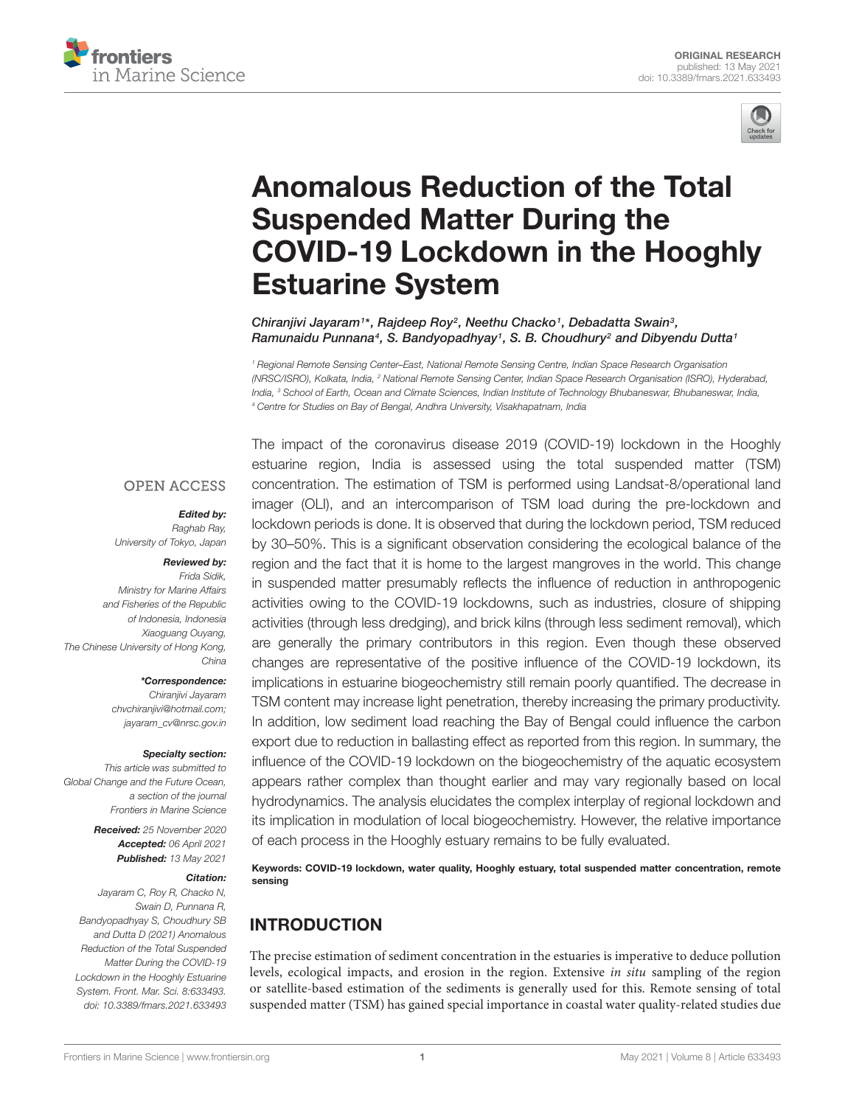



# Anomalous Reduction of the Total Suspended Matter During the COVID-19 Lockdown in the Hooghly Estuarine System

Chiranjivi Jayaram<sup>1\*</sup>, Rajdeep Roy<sup>2</sup>, Neethu Chacko<sup>1</sup>, Debadatta Swain<sup>3</sup>, Ramunaidu Punnana<sup>4</sup>, S. Bandyopadhyay<sup>1</sup>, S. B. Choudhury<sup>2</sup> and Dibyendu Dutta<sup>1</sup>

*<sup>1</sup> Regional Remote Sensing Center–East, National Remote Sensing Centre, Indian Space Research Organisation (NRSC/ISRO), Kolkata, India, <sup>2</sup> National Remote Sensing Center, Indian Space Research Organisation (ISRO), Hyderabad, India, <sup>3</sup> School of Earth, Ocean and Climate Sciences, Indian Institute of Technology Bhubaneswar, Bhubaneswar, India, <sup>4</sup> Centre for Studies on Bay of Bengal, Andhra University, Visakhapatnam, India*

#### **OPEN ACCESS**

#### Edited by:

*Raghab Ray, University of Tokyo, Japan*

#### Reviewed by:

*Frida Sidik, Ministry for Marine Affairs and Fisheries of the Republic of Indonesia, Indonesia Xiaoguang Ouyang, The Chinese University of Hong Kong, China*

> \*Correspondence: *Chiranjivi Jayaram*

*chvchiranjivi@hotmail.com; jayaram\_cv@nrsc.gov.in*

#### Specialty section:

*This article was submitted to Global Change and the Future Ocean, a section of the journal Frontiers in Marine Science*

> Received: *25 November 2020* Accepted: *06 April 2021* Published: *13 May 2021*

#### Citation:

*Jayaram C, Roy R, Chacko N, Swain D, Punnana R, Bandyopadhyay S, Choudhury SB and Dutta D (2021) Anomalous Reduction of the Total Suspended Matter During the COVID-19 Lockdown in the Hooghly Estuarine System. Front. Mar. Sci. 8:633493. doi: 10.3389/fmars.2021.633493*

The impact of the coronavirus disease 2019 (COVID-19) lockdown in the Hooghly estuarine region, India is assessed using the total suspended matter (TSM) concentration. The estimation of TSM is performed using Landsat-8/operational land imager (OLI), and an intercomparison of TSM load during the pre-lockdown and lockdown periods is done. It is observed that during the lockdown period, TSM reduced by 30–50%. This is a significant observation considering the ecological balance of the region and the fact that it is home to the largest mangroves in the world. This change in suspended matter presumably reflects the influence of reduction in anthropogenic activities owing to the COVID-19 lockdowns, such as industries, closure of shipping activities (through less dredging), and brick kilns (through less sediment removal), which are generally the primary contributors in this region. Even though these observed changes are representative of the positive influence of the COVID-19 lockdown, its implications in estuarine biogeochemistry still remain poorly quantified. The decrease in TSM content may increase light penetration, thereby increasing the primary productivity. In addition, low sediment load reaching the Bay of Bengal could influence the carbon export due to reduction in ballasting effect as reported from this region. In summary, the influence of the COVID-19 lockdown on the biogeochemistry of the aquatic ecosystem appears rather complex than thought earlier and may vary regionally based on local hydrodynamics. The analysis elucidates the complex interplay of regional lockdown and its implication in modulation of local biogeochemistry. However, the relative importance of each process in the Hooghly estuary remains to be fully evaluated.

Keywords: COVID-19 lockdown, water quality, Hooghly estuary, total suspended matter concentration, remote sensing

# INTRODUCTION

The precise estimation of sediment concentration in the estuaries is imperative to deduce pollution levels, ecological impacts, and erosion in the region. Extensive in situ sampling of the region or satellite-based estimation of the sediments is generally used for this. Remote sensing of total suspended matter (TSM) has gained special importance in coastal water quality-related studies due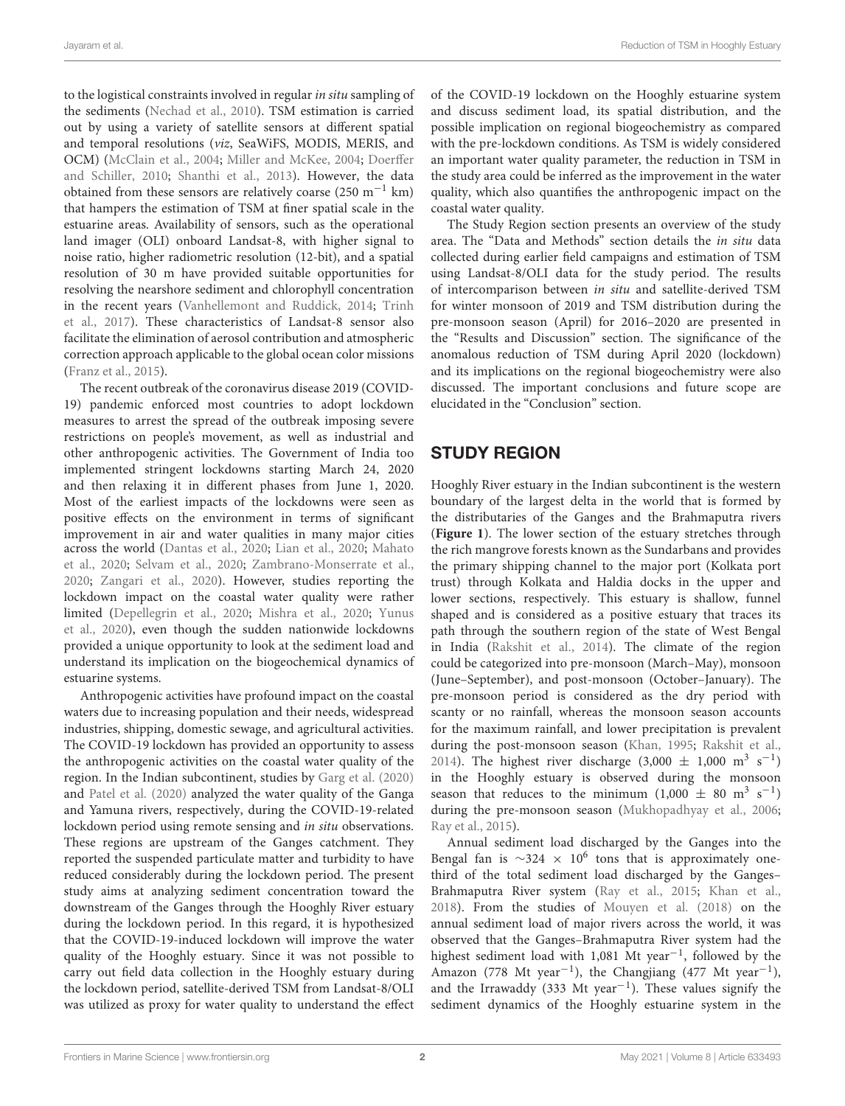to the logistical constraints involved in regular in situ sampling of the sediments (Nechad et al., 2010). TSM estimation is carried out by using a variety of satellite sensors at different spatial and temporal resolutions (viz, SeaWiFS, MODIS, MERIS, and OCM) (McClain et al., 2004; Miller and McKee, 2004; Doerffer and Schiller, 2010; Shanthi et al., 2013). However, the data obtained from these sensors are relatively coarse (250 m<sup>-1</sup> km) that hampers the estimation of TSM at finer spatial scale in the estuarine areas. Availability of sensors, such as the operational land imager (OLI) onboard Landsat-8, with higher signal to noise ratio, higher radiometric resolution (12-bit), and a spatial resolution of 30 m have provided suitable opportunities for resolving the nearshore sediment and chlorophyll concentration in the recent years (Vanhellemont and Ruddick, 2014; Trinh et al., 2017). These characteristics of Landsat-8 sensor also facilitate the elimination of aerosol contribution and atmospheric correction approach applicable to the global ocean color missions (Franz et al., 2015).

The recent outbreak of the coronavirus disease 2019 (COVID-19) pandemic enforced most countries to adopt lockdown measures to arrest the spread of the outbreak imposing severe restrictions on people's movement, as well as industrial and other anthropogenic activities. The Government of India too implemented stringent lockdowns starting March 24, 2020 and then relaxing it in different phases from June 1, 2020. Most of the earliest impacts of the lockdowns were seen as positive effects on the environment in terms of significant improvement in air and water qualities in many major cities across the world (Dantas et al., 2020; Lian et al., 2020; Mahato et al., 2020; Selvam et al., 2020; Zambrano-Monserrate et al., 2020; Zangari et al., 2020). However, studies reporting the lockdown impact on the coastal water quality were rather limited (Depellegrin et al., 2020; Mishra et al., 2020; Yunus et al., 2020), even though the sudden nationwide lockdowns provided a unique opportunity to look at the sediment load and understand its implication on the biogeochemical dynamics of estuarine systems.

Anthropogenic activities have profound impact on the coastal waters due to increasing population and their needs, widespread industries, shipping, domestic sewage, and agricultural activities. The COVID-19 lockdown has provided an opportunity to assess the anthropogenic activities on the coastal water quality of the region. In the Indian subcontinent, studies by Garg et al. (2020) and Patel et al. (2020) analyzed the water quality of the Ganga and Yamuna rivers, respectively, during the COVID-19-related lockdown period using remote sensing and in situ observations. These regions are upstream of the Ganges catchment. They reported the suspended particulate matter and turbidity to have reduced considerably during the lockdown period. The present study aims at analyzing sediment concentration toward the downstream of the Ganges through the Hooghly River estuary during the lockdown period. In this regard, it is hypothesized that the COVID-19-induced lockdown will improve the water quality of the Hooghly estuary. Since it was not possible to carry out field data collection in the Hooghly estuary during the lockdown period, satellite-derived TSM from Landsat-8/OLI was utilized as proxy for water quality to understand the effect of the COVID-19 lockdown on the Hooghly estuarine system and discuss sediment load, its spatial distribution, and the possible implication on regional biogeochemistry as compared with the pre-lockdown conditions. As TSM is widely considered an important water quality parameter, the reduction in TSM in the study area could be inferred as the improvement in the water quality, which also quantifies the anthropogenic impact on the coastal water quality.

The Study Region section presents an overview of the study area. The "Data and Methods" section details the in situ data collected during earlier field campaigns and estimation of TSM using Landsat-8/OLI data for the study period. The results of intercomparison between in situ and satellite-derived TSM for winter monsoon of 2019 and TSM distribution during the pre-monsoon season (April) for 2016–2020 are presented in the "Results and Discussion" section. The significance of the anomalous reduction of TSM during April 2020 (lockdown) and its implications on the regional biogeochemistry were also discussed. The important conclusions and future scope are elucidated in the "Conclusion" section.

# STUDY REGION

Hooghly River estuary in the Indian subcontinent is the western boundary of the largest delta in the world that is formed by the distributaries of the Ganges and the Brahmaputra rivers (**Figure 1**). The lower section of the estuary stretches through the rich mangrove forests known as the Sundarbans and provides the primary shipping channel to the major port (Kolkata port trust) through Kolkata and Haldia docks in the upper and lower sections, respectively. This estuary is shallow, funnel shaped and is considered as a positive estuary that traces its path through the southern region of the state of West Bengal in India (Rakshit et al., 2014). The climate of the region could be categorized into pre-monsoon (March–May), monsoon (June–September), and post-monsoon (October–January). The pre-monsoon period is considered as the dry period with scanty or no rainfall, whereas the monsoon season accounts for the maximum rainfall, and lower precipitation is prevalent during the post-monsoon season (Khan, 1995; Rakshit et al., 2014). The highest river discharge  $(3,000 \pm 1,000 \text{ m}^3 \text{ s}^{-1})$ in the Hooghly estuary is observed during the monsoon season that reduces to the minimum  $(1,000 \pm 80 \text{ m}^3 \text{ s}^{-1})$ during the pre-monsoon season (Mukhopadhyay et al., 2006; Ray et al., 2015).

Annual sediment load discharged by the Ganges into the Bengal fan is ~324 ×  $10^6$  tons that is approximately onethird of the total sediment load discharged by the Ganges– Brahmaputra River system (Ray et al., 2015; Khan et al., 2018). From the studies of Mouyen et al. (2018) on the annual sediment load of major rivers across the world, it was observed that the Ganges–Brahmaputra River system had the highest sediment load with 1,081 Mt year<sup>-1</sup>, followed by the Amazon (778 Mt year<sup>-1</sup>), the Changjiang (477 Mt year<sup>-1</sup>), and the Irrawaddy (333 Mt year−<sup>1</sup> ). These values signify the sediment dynamics of the Hooghly estuarine system in the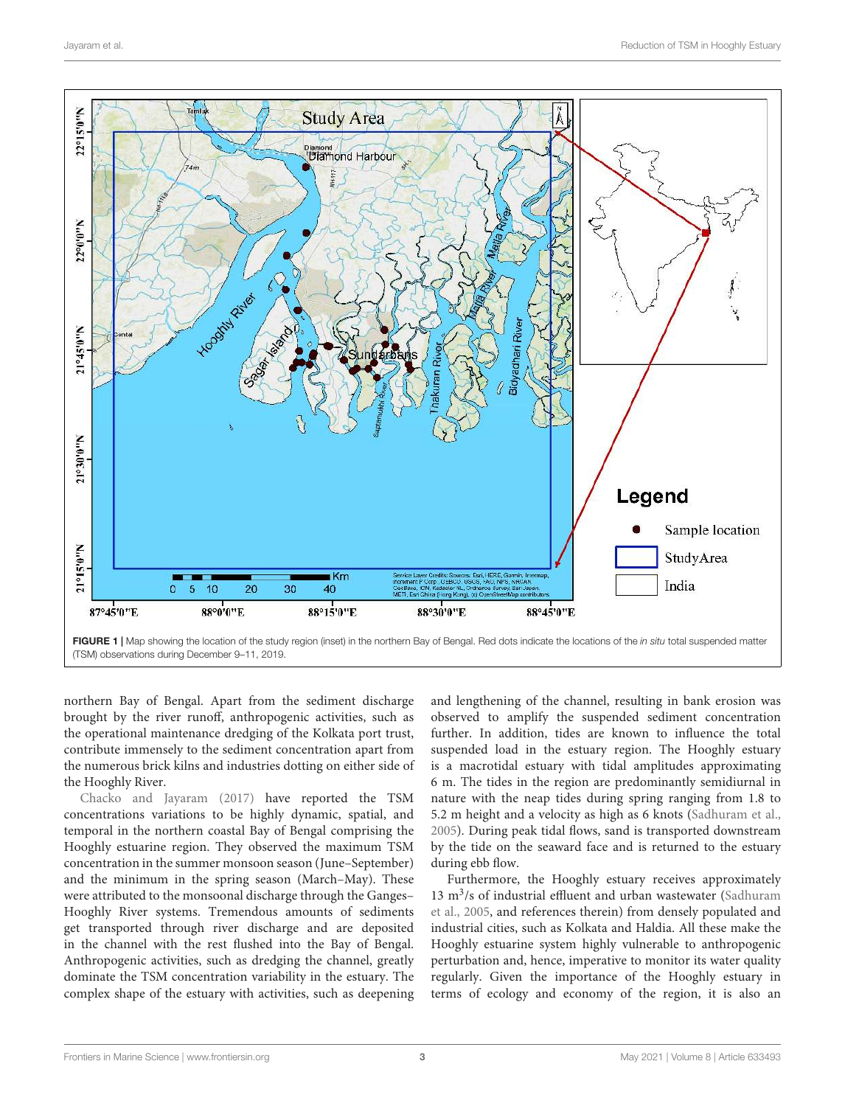

northern Bay of Bengal. Apart from the sediment discharge brought by the river runoff, anthropogenic activities, such as the operational maintenance dredging of the Kolkata port trust, contribute immensely to the sediment concentration apart from the numerous brick kilns and industries dotting on either side of the Hooghly River.

Chacko and Jayaram (2017) have reported the TSM concentrations variations to be highly dynamic, spatial, and temporal in the northern coastal Bay of Bengal comprising the Hooghly estuarine region. They observed the maximum TSM concentration in the summer monsoon season (June–September) and the minimum in the spring season (March–May). These were attributed to the monsoonal discharge through the Ganges– Hooghly River systems. Tremendous amounts of sediments get transported through river discharge and are deposited in the channel with the rest flushed into the Bay of Bengal. Anthropogenic activities, such as dredging the channel, greatly dominate the TSM concentration variability in the estuary. The complex shape of the estuary with activities, such as deepening and lengthening of the channel, resulting in bank erosion was observed to amplify the suspended sediment concentration further. In addition, tides are known to influence the total suspended load in the estuary region. The Hooghly estuary is a macrotidal estuary with tidal amplitudes approximating 6 m. The tides in the region are predominantly semidiurnal in nature with the neap tides during spring ranging from 1.8 to 5.2 m height and a velocity as high as 6 knots (Sadhuram et al., 2005). During peak tidal flows, sand is transported downstream by the tide on the seaward face and is returned to the estuary during ebb flow.

Furthermore, the Hooghly estuary receives approximately 13  $m<sup>3</sup>/s$  of industrial effluent and urban wastewater (Sadhuram et al., 2005, and references therein) from densely populated and industrial cities, such as Kolkata and Haldia. All these make the Hooghly estuarine system highly vulnerable to anthropogenic perturbation and, hence, imperative to monitor its water quality regularly. Given the importance of the Hooghly estuary in terms of ecology and economy of the region, it is also an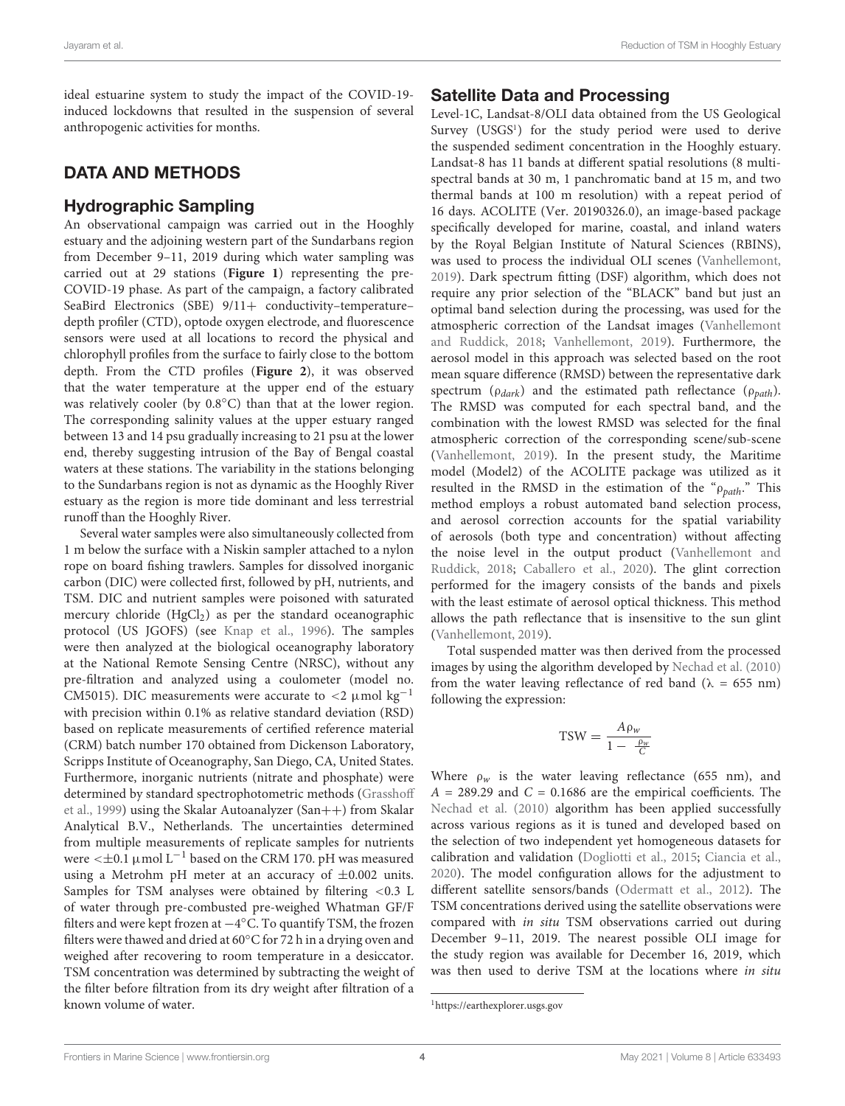ideal estuarine system to study the impact of the COVID-19 induced lockdowns that resulted in the suspension of several anthropogenic activities for months.

# DATA AND METHODS

### Hydrographic Sampling

An observational campaign was carried out in the Hooghly estuary and the adjoining western part of the Sundarbans region from December 9–11, 2019 during which water sampling was carried out at 29 stations (**Figure 1**) representing the pre-COVID-19 phase. As part of the campaign, a factory calibrated SeaBird Electronics (SBE) 9/11+ conductivity-temperaturedepth profiler (CTD), optode oxygen electrode, and fluorescence sensors were used at all locations to record the physical and chlorophyll profiles from the surface to fairly close to the bottom depth. From the CTD profiles (**Figure 2**), it was observed that the water temperature at the upper end of the estuary was relatively cooler (by  $0.8\degree$ C) than that at the lower region. The corresponding salinity values at the upper estuary ranged between 13 and 14 psu gradually increasing to 21 psu at the lower end, thereby suggesting intrusion of the Bay of Bengal coastal waters at these stations. The variability in the stations belonging to the Sundarbans region is not as dynamic as the Hooghly River estuary as the region is more tide dominant and less terrestrial runoff than the Hooghly River.

Several water samples were also simultaneously collected from 1 m below the surface with a Niskin sampler attached to a nylon rope on board fishing trawlers. Samples for dissolved inorganic carbon (DIC) were collected first, followed by pH, nutrients, and TSM. DIC and nutrient samples were poisoned with saturated mercury chloride  $(HgCl<sub>2</sub>)$  as per the standard oceanographic protocol (US JGOFS) (see Knap et al., 1996). The samples were then analyzed at the biological oceanography laboratory at the National Remote Sensing Centre (NRSC), without any pre-filtration and analyzed using a coulometer (model no. CM5015). DIC measurements were accurate to  $\langle 2 \mu \text{mol} \text{kg}^{-1} \rangle$ with precision within 0.1% as relative standard deviation (RSD) based on replicate measurements of certified reference material (CRM) batch number 170 obtained from Dickenson Laboratory, Scripps Institute of Oceanography, San Diego, CA, United States. Furthermore, inorganic nutrients (nitrate and phosphate) were determined by standard spectrophotometric methods (Grasshoff et al., 1999) using the Skalar Autoanalyzer (San++) from Skalar Analytical B.V., Netherlands. The uncertainties determined from multiple measurements of replicate samples for nutrients were  $\leq \pm 0.1$  µmol L<sup>-1</sup> based on the CRM 170. pH was measured using a Metrohm pH meter at an accuracy of  $\pm 0.002$  units. Samples for TSM analyses were obtained by filtering <0.3 L of water through pre-combusted pre-weighed Whatman GF/F filters and were kept frozen at −4 ◦C. To quantify TSM, the frozen filters were thawed and dried at 60◦C for 72 h in a drying oven and weighed after recovering to room temperature in a desiccator. TSM concentration was determined by subtracting the weight of the filter before filtration from its dry weight after filtration of a known volume of water.

### Satellite Data and Processing

Level-1C, Landsat-8/OLI data obtained from the US Geological Survey (USGS<sup>1</sup>) for the study period were used to derive the suspended sediment concentration in the Hooghly estuary. Landsat-8 has 11 bands at different spatial resolutions (8 multispectral bands at 30 m, 1 panchromatic band at 15 m, and two thermal bands at 100 m resolution) with a repeat period of 16 days. ACOLITE (Ver. 20190326.0), an image-based package specifically developed for marine, coastal, and inland waters by the Royal Belgian Institute of Natural Sciences (RBINS), was used to process the individual OLI scenes (Vanhellemont, 2019). Dark spectrum fitting (DSF) algorithm, which does not require any prior selection of the "BLACK" band but just an optimal band selection during the processing, was used for the atmospheric correction of the Landsat images (Vanhellemont and Ruddick, 2018; Vanhellemont, 2019). Furthermore, the aerosol model in this approach was selected based on the root mean square difference (RMSD) between the representative dark spectrum ( $\rho_{dark}$ ) and the estimated path reflectance ( $\rho_{path}$ ). The RMSD was computed for each spectral band, and the combination with the lowest RMSD was selected for the final atmospheric correction of the corresponding scene/sub-scene (Vanhellemont, 2019). In the present study, the Maritime model (Model2) of the ACOLITE package was utilized as it resulted in the RMSD in the estimation of the " $\rho_{path}$ ." This method employs a robust automated band selection process, and aerosol correction accounts for the spatial variability of aerosols (both type and concentration) without affecting the noise level in the output product (Vanhellemont and Ruddick, 2018; Caballero et al., 2020). The glint correction performed for the imagery consists of the bands and pixels with the least estimate of aerosol optical thickness. This method allows the path reflectance that is insensitive to the sun glint (Vanhellemont, 2019).

Total suspended matter was then derived from the processed images by using the algorithm developed by Nechad et al. (2010) from the water leaving reflectance of red band ( $\lambda = 655$  nm) following the expression:

$$
TSW = \frac{A\rho_w}{1 - \frac{\rho_w}{C}}
$$

Where  $\rho_w$  is the water leaving reflectance (655 nm), and  $A = 289.29$  and  $C = 0.1686$  are the empirical coefficients. The Nechad et al. (2010) algorithm has been applied successfully across various regions as it is tuned and developed based on the selection of two independent yet homogeneous datasets for calibration and validation (Dogliotti et al., 2015; Ciancia et al., 2020). The model configuration allows for the adjustment to different satellite sensors/bands (Odermatt et al., 2012). The TSM concentrations derived using the satellite observations were compared with in situ TSM observations carried out during December 9–11, 2019. The nearest possible OLI image for the study region was available for December 16, 2019, which was then used to derive TSM at the locations where in situ

<sup>1</sup>https://earthexplorer.usgs.gov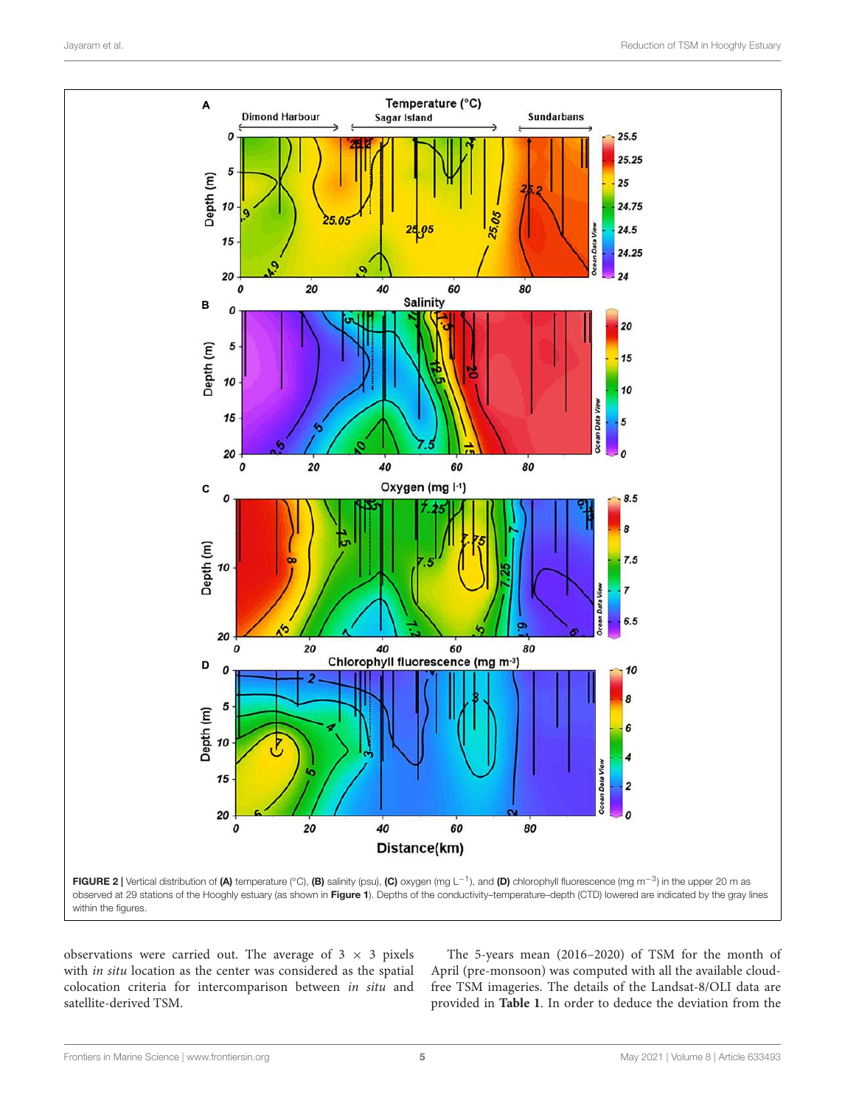

observations were carried out. The average of  $3 \times 3$  pixels with in situ location as the center was considered as the spatial colocation criteria for intercomparison between in situ and satellite-derived TSM.

The 5-years mean (2016–2020) of TSM for the month of April (pre-monsoon) was computed with all the available cloudfree TSM imageries. The details of the Landsat-8/OLI data are provided in **Table 1**. In order to deduce the deviation from the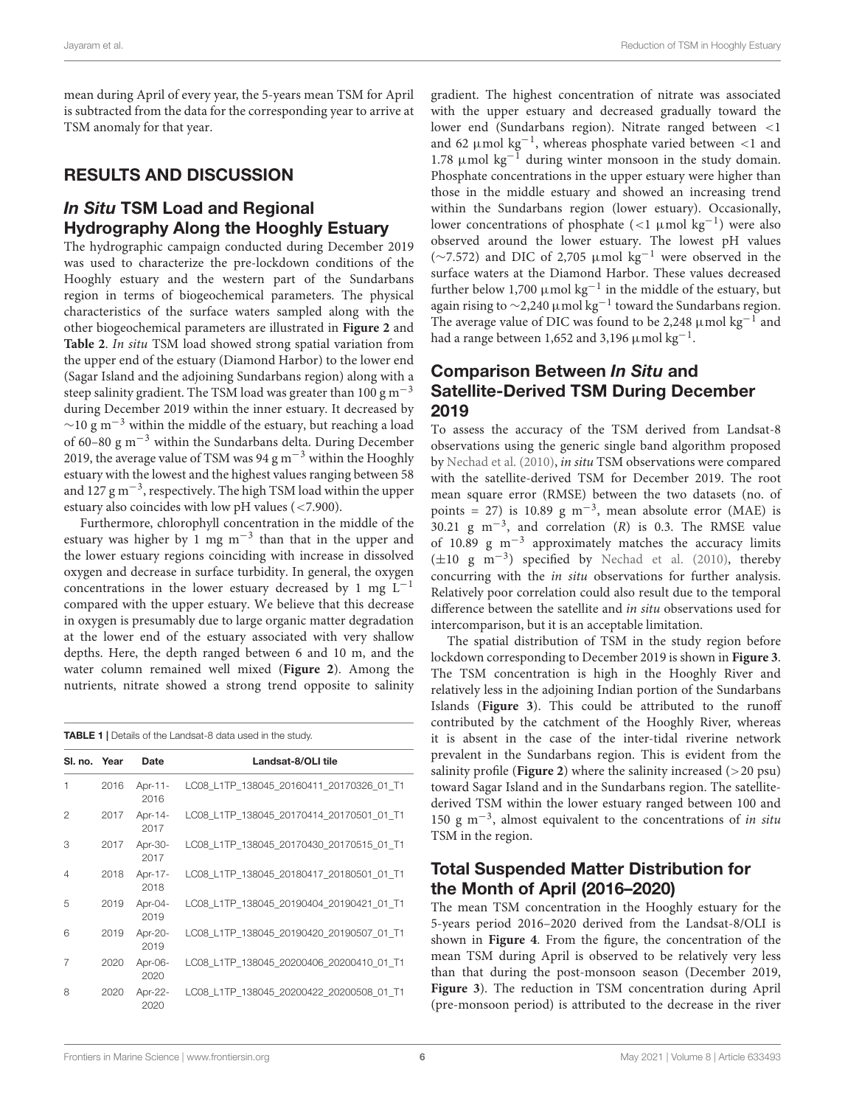mean during April of every year, the 5-years mean TSM for April is subtracted from the data for the corresponding year to arrive at TSM anomaly for that year.

## RESULTS AND DISCUSSION

# In Situ TSM Load and Regional Hydrography Along the Hooghly Estuary

The hydrographic campaign conducted during December 2019 was used to characterize the pre-lockdown conditions of the Hooghly estuary and the western part of the Sundarbans region in terms of biogeochemical parameters. The physical characteristics of the surface waters sampled along with the other biogeochemical parameters are illustrated in **Figure 2** and **Table 2**. In situ TSM load showed strong spatial variation from the upper end of the estuary (Diamond Harbor) to the lower end (Sagar Island and the adjoining Sundarbans region) along with a steep salinity gradient. The TSM load was greater than 100 g  $m^{-3}$ during December 2019 within the inner estuary. It decreased by  $\sim$ 10 g m<sup>-3</sup> within the middle of the estuary, but reaching a load of 60–80  $\rm g~m^{-3}$  within the Sundarbans delta. During December 2019, the average value of TSM was 94 g m−<sup>3</sup> within the Hooghly estuary with the lowest and the highest values ranging between 58 and 127 g m−<sup>3</sup> , respectively. The high TSM load within the upper estuary also coincides with low pH values (<7.900).

Furthermore, chlorophyll concentration in the middle of the estuary was higher by  $1 \text{ mg m}^{-3}$  than that in the upper and the lower estuary regions coinciding with increase in dissolved oxygen and decrease in surface turbidity. In general, the oxygen concentrations in the lower estuary decreased by 1 mg  $L^{-1}$ compared with the upper estuary. We believe that this decrease in oxygen is presumably due to large organic matter degradation at the lower end of the estuary associated with very shallow depths. Here, the depth ranged between 6 and 10 m, and the water column remained well mixed (**Figure 2**). Among the nutrients, nitrate showed a strong trend opposite to salinity

TABLE 1 | Details of the Landsat-8 data used in the study.

| SI. no. Year |      | Date            | Landsat-8/OLI tile                       |
|--------------|------|-----------------|------------------------------------------|
| 1            | 2016 | Apr-11-<br>2016 | LC08 L1TP 138045 20160411 20170326 01 T1 |
| 2            | 2017 | Apr-14-<br>2017 | LC08 L1TP 138045 20170414 20170501 01 T1 |
| 3            | 2017 | Apr-30-<br>2017 | LC08 L1TP 138045 20170430 20170515 01 T1 |
| 4            | 2018 | Apr-17-<br>2018 | LC08 L1TP 138045 20180417 20180501 01 T1 |
| 5            | 2019 | Apr-04-<br>2019 | LC08 L1TP 138045 20190404 20190421 01 T1 |
| 6            | 2019 | Apr-20-<br>2019 | LC08 L1TP 138045 20190420 20190507 01 T1 |
| 7            | 2020 | Apr-06-<br>2020 | LC08 L1TP 138045 20200406 20200410 01 T1 |
| 8            | 2020 | Apr-22-<br>2020 | LC08 L1TP 138045 20200422 20200508 01 T1 |

gradient. The highest concentration of nitrate was associated with the upper estuary and decreased gradually toward the lower end (Sundarbans region). Nitrate ranged between <1 and 62 µmol kg−<sup>1</sup> , whereas phosphate varied between <1 and 1.78  $\mu$ mol kg<sup>-1</sup> during winter monsoon in the study domain. Phosphate concentrations in the upper estuary were higher than those in the middle estuary and showed an increasing trend within the Sundarbans region (lower estuary). Occasionally, lower concentrations of phosphate  $(<1 \mu$ mol kg<sup>-1</sup>) were also observed around the lower estuary. The lowest pH values (∼7.572) and DIC of 2,705 µmol kg−<sup>1</sup> were observed in the surface waters at the Diamond Harbor. These values decreased further below 1,700  $\mu$ mol kg<sup>-1</sup> in the middle of the estuary, but again rising to  $\sim$ 2,240 µmol kg<sup>-1</sup> toward the Sundarbans region. The average value of DIC was found to be 2,248  $\mu$ mol kg<sup>-1</sup> and had a range between 1,652 and 3,196  $\mu$ mol kg<sup>-1</sup>.

### Comparison Between In Situ and Satellite-Derived TSM During December 2019

To assess the accuracy of the TSM derived from Landsat-8 observations using the generic single band algorithm proposed by Nechad et al. (2010), in situ TSM observations were compared with the satellite-derived TSM for December 2019. The root mean square error (RMSE) between the two datasets (no. of points = 27) is 10.89 g m<sup>-3</sup>, mean absolute error (MAE) is 30.21 g m<sup>-3</sup>, and correlation (R) is 0.3. The RMSE value of 10.89 g m−<sup>3</sup> approximately matches the accuracy limits (±10 g m−<sup>3</sup> ) specified by Nechad et al. (2010), thereby concurring with the in situ observations for further analysis. Relatively poor correlation could also result due to the temporal difference between the satellite and in situ observations used for intercomparison, but it is an acceptable limitation.

The spatial distribution of TSM in the study region before lockdown corresponding to December 2019 is shown in **Figure 3**. The TSM concentration is high in the Hooghly River and relatively less in the adjoining Indian portion of the Sundarbans Islands (**Figure 3**). This could be attributed to the runoff contributed by the catchment of the Hooghly River, whereas it is absent in the case of the inter-tidal riverine network prevalent in the Sundarbans region. This is evident from the salinity profile (**Figure 2**) where the salinity increased  $(>20 \text{ psu})$ toward Sagar Island and in the Sundarbans region. The satellitederived TSM within the lower estuary ranged between 100 and 150 g m−<sup>3</sup> , almost equivalent to the concentrations of in situ TSM in the region.

# Total Suspended Matter Distribution for the Month of April (2016–2020)

The mean TSM concentration in the Hooghly estuary for the 5-years period 2016–2020 derived from the Landsat-8/OLI is shown in **Figure 4**. From the figure, the concentration of the mean TSM during April is observed to be relatively very less than that during the post-monsoon season (December 2019, **Figure 3**). The reduction in TSM concentration during April (pre-monsoon period) is attributed to the decrease in the river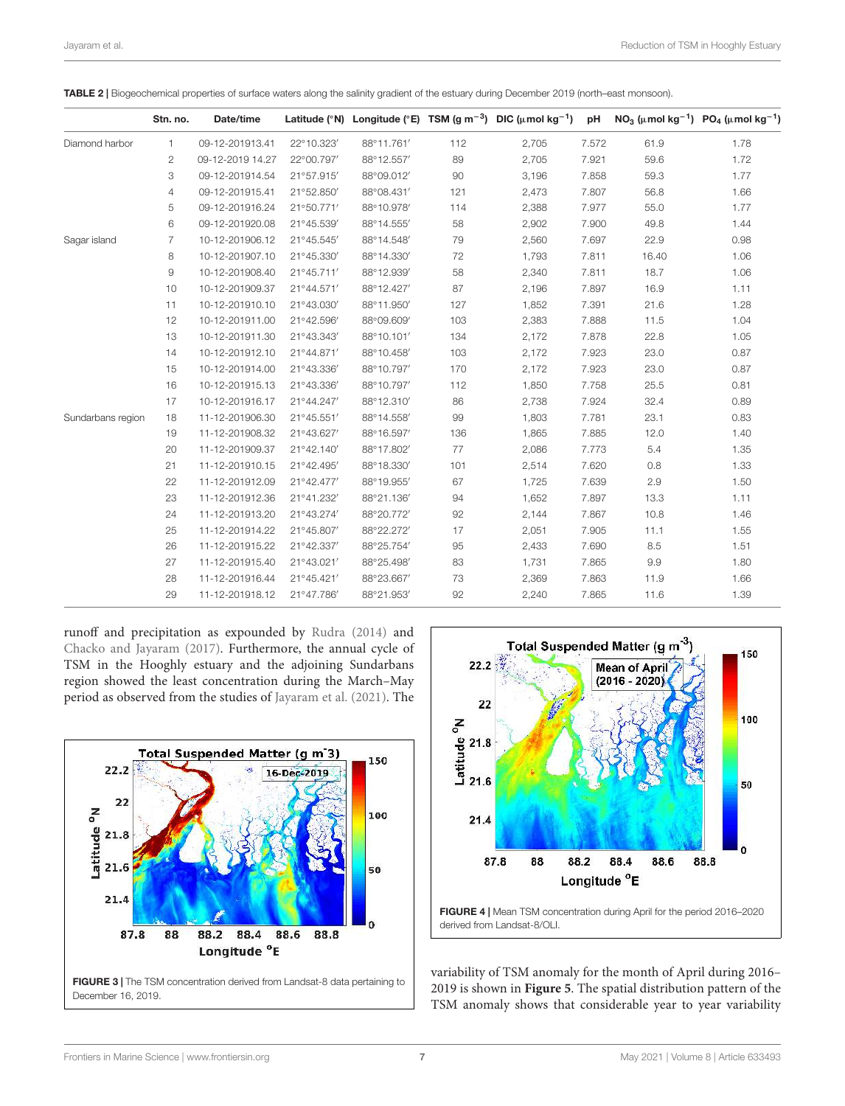TABLE 2 | Biogeochemical properties of surface waters along the salinity gradient of the estuary during December 2019 (north–east monsoon).

|                   | Stn. no.       | Date/time        |            |            |     | Latitude (°N) Longitude (°E) TSM (g m <sup>-3</sup> ) DIC ( $\mu$ mol kg <sup>-1</sup> ) | pH    |       | NO <sub>3</sub> ( $\mu$ mol kg <sup>-1</sup> ) PO <sub>4</sub> ( $\mu$ mol kg <sup>-1</sup> ) |
|-------------------|----------------|------------------|------------|------------|-----|------------------------------------------------------------------------------------------|-------|-------|-----------------------------------------------------------------------------------------------|
| Diamond harbor    | 1.             | 09-12-201913.41  | 22°10.323' | 88°11.761' | 112 | 2,705                                                                                    | 7.572 | 61.9  | 1.78                                                                                          |
|                   | 2              | 09-12-2019 14.27 | 22°00.797' | 88°12.557' | 89  | 2,705                                                                                    | 7.921 | 59.6  | 1.72                                                                                          |
|                   | 3              | 09-12-201914.54  | 21°57.915' | 88°09.012' | 90  | 3,196                                                                                    | 7.858 | 59.3  | 1.77                                                                                          |
|                   | 4              | 09-12-201915.41  | 21°52.850' | 88°08.431' | 121 | 2,473                                                                                    | 7.807 | 56.8  | 1.66                                                                                          |
|                   | 5              | 09-12-201916.24  | 21°50.771' | 88°10.978' | 114 | 2,388                                                                                    | 7.977 | 55.0  | 1.77                                                                                          |
|                   | 6              | 09-12-201920.08  | 21°45.539' | 88°14.555' | 58  | 2,902                                                                                    | 7.900 | 49.8  | 1.44                                                                                          |
| Sagar island      | $\overline{7}$ | 10-12-201906.12  | 21°45.545' | 88°14.548' | 79  | 2,560                                                                                    | 7.697 | 22.9  | 0.98                                                                                          |
|                   | 8              | 10-12-201907.10  | 21°45.330' | 88°14.330' | 72  | 1,793                                                                                    | 7.811 | 16.40 | 1.06                                                                                          |
|                   | 9              | 10-12-201908.40  | 21°45.711' | 88°12.939' | 58  | 2,340                                                                                    | 7.811 | 18.7  | 1.06                                                                                          |
|                   | 10             | 10-12-201909.37  | 21°44.571' | 88°12.427' | 87  | 2,196                                                                                    | 7.897 | 16.9  | 1.11                                                                                          |
|                   | 11             | 10-12-201910.10  | 21°43.030' | 88°11.950' | 127 | 1,852                                                                                    | 7.391 | 21.6  | 1.28                                                                                          |
|                   | 12             | 10-12-201911.00  | 21°42.596' | 88°09.609' | 103 | 2,383                                                                                    | 7.888 | 11.5  | 1.04                                                                                          |
|                   | 13             | 10-12-201911.30  | 21°43.343' | 88°10.101' | 134 | 2,172                                                                                    | 7.878 | 22.8  | 1.05                                                                                          |
|                   | 14             | 10-12-201912.10  | 21°44.871' | 88°10.458' | 103 | 2,172                                                                                    | 7.923 | 23.0  | 0.87                                                                                          |
|                   | 15             | 10-12-201914.00  | 21°43.336' | 88°10.797' | 170 | 2,172                                                                                    | 7.923 | 23.0  | 0.87                                                                                          |
|                   | 16             | 10-12-201915.13  | 21°43.336' | 88°10.797' | 112 | 1,850                                                                                    | 7.758 | 25.5  | 0.81                                                                                          |
|                   | 17             | 10-12-201916.17  | 21°44.247' | 88°12.310' | 86  | 2,738                                                                                    | 7.924 | 32.4  | 0.89                                                                                          |
| Sundarbans region | 18             | 11-12-201906.30  | 21°45.551' | 88°14.558' | 99  | 1,803                                                                                    | 7.781 | 23.1  | 0.83                                                                                          |
|                   | 19             | 11-12-201908.32  | 21°43.627' | 88°16.597' | 136 | 1,865                                                                                    | 7.885 | 12.0  | 1.40                                                                                          |
|                   | 20             | 11-12-201909.37  | 21°42.140' | 88°17.802' | 77  | 2,086                                                                                    | 7.773 | 5.4   | 1.35                                                                                          |
|                   | 21             | 11-12-201910.15  | 21°42.495' | 88°18.330' | 101 | 2,514                                                                                    | 7.620 | 0.8   | 1.33                                                                                          |
|                   | 22             | 11-12-201912.09  | 21°42.477' | 88°19.955' | 67  | 1,725                                                                                    | 7.639 | 2.9   | 1.50                                                                                          |
|                   | 23             | 11-12-201912.36  | 21°41.232' | 88°21.136' | 94  | 1,652                                                                                    | 7.897 | 13.3  | 1.11                                                                                          |
|                   | 24             | 11-12-201913.20  | 21°43.274' | 88°20.772' | 92  | 2,144                                                                                    | 7.867 | 10.8  | 1.46                                                                                          |
|                   | 25             | 11-12-201914.22  | 21°45.807' | 88°22.272' | 17  | 2,051                                                                                    | 7.905 | 11.1  | 1.55                                                                                          |
|                   | 26             | 11-12-201915.22  | 21°42.337' | 88°25.754' | 95  | 2,433                                                                                    | 7.690 | 8.5   | 1.51                                                                                          |
|                   | 27             | 11-12-201915.40  | 21°43.021' | 88°25.498' | 83  | 1,731                                                                                    | 7.865 | 9.9   | 1.80                                                                                          |
|                   | 28             | 11-12-201916.44  | 21°45.421' | 88°23.667' | 73  | 2,369                                                                                    | 7.863 | 11.9  | 1.66                                                                                          |
|                   | 29             | 11-12-201918.12  | 21°47.786' | 88°21.953' | 92  | 2,240                                                                                    | 7.865 | 11.6  | 1.39                                                                                          |

runoff and precipitation as expounded by Rudra (2014) and Chacko and Jayaram (2017). Furthermore, the annual cycle of TSM in the Hooghly estuary and the adjoining Sundarbans region showed the least concentration during the March–May period as observed from the studies of Jayaram et al. (2021). The





variability of TSM anomaly for the month of April during 2016– 2019 is shown in **Figure 5**. The spatial distribution pattern of the TSM anomaly shows that considerable year to year variability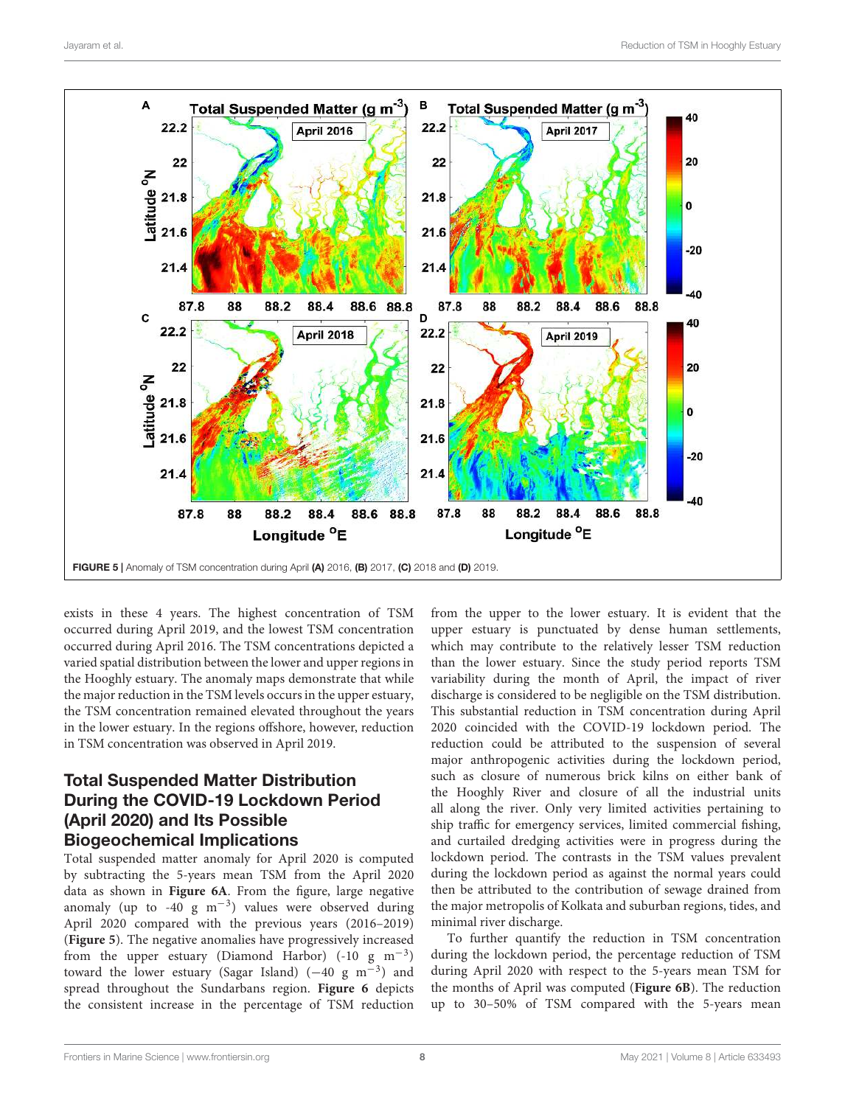

exists in these 4 years. The highest concentration of TSM occurred during April 2019, and the lowest TSM concentration occurred during April 2016. The TSM concentrations depicted a varied spatial distribution between the lower and upper regions in the Hooghly estuary. The anomaly maps demonstrate that while the major reduction in the TSM levels occurs in the upper estuary, the TSM concentration remained elevated throughout the years in the lower estuary. In the regions offshore, however, reduction in TSM concentration was observed in April 2019.

# Total Suspended Matter Distribution During the COVID-19 Lockdown Period (April 2020) and Its Possible Biogeochemical Implications

Total suspended matter anomaly for April 2020 is computed by subtracting the 5-years mean TSM from the April 2020 data as shown in **Figure 6A**. From the figure, large negative anomaly (up to -40  $g$  m<sup>-3</sup>) values were observed during April 2020 compared with the previous years (2016–2019) (**Figure 5**). The negative anomalies have progressively increased from the upper estuary (Diamond Harbor) (-10  $g$  m<sup>-3</sup>) toward the lower estuary (Sagar Island)  $(-40 \text{ g m}^{-3})$  and spread throughout the Sundarbans region. **Figure 6** depicts the consistent increase in the percentage of TSM reduction

from the upper to the lower estuary. It is evident that the upper estuary is punctuated by dense human settlements, which may contribute to the relatively lesser TSM reduction than the lower estuary. Since the study period reports TSM variability during the month of April, the impact of river discharge is considered to be negligible on the TSM distribution. This substantial reduction in TSM concentration during April 2020 coincided with the COVID-19 lockdown period. The reduction could be attributed to the suspension of several major anthropogenic activities during the lockdown period, such as closure of numerous brick kilns on either bank of the Hooghly River and closure of all the industrial units all along the river. Only very limited activities pertaining to ship traffic for emergency services, limited commercial fishing, and curtailed dredging activities were in progress during the lockdown period. The contrasts in the TSM values prevalent during the lockdown period as against the normal years could then be attributed to the contribution of sewage drained from the major metropolis of Kolkata and suburban regions, tides, and minimal river discharge.

To further quantify the reduction in TSM concentration during the lockdown period, the percentage reduction of TSM during April 2020 with respect to the 5-years mean TSM for the months of April was computed (**Figure 6B**). The reduction up to 30–50% of TSM compared with the 5-years mean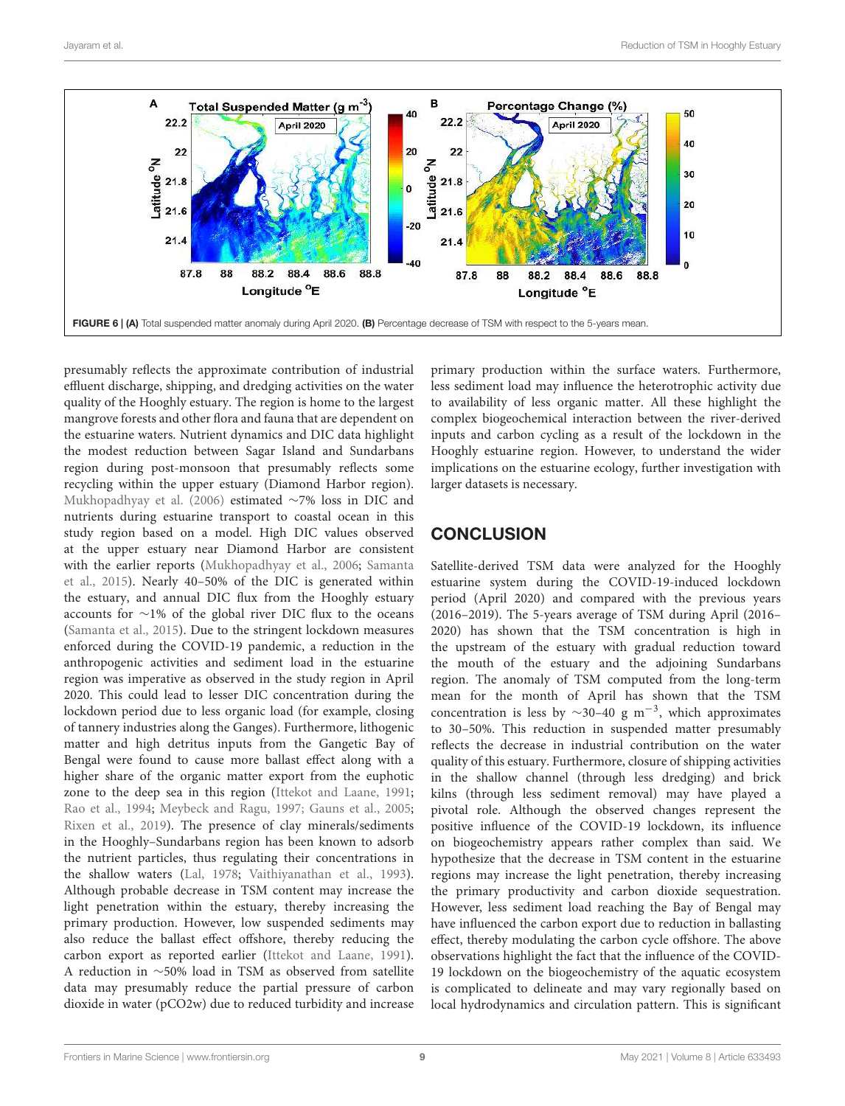

presumably reflects the approximate contribution of industrial effluent discharge, shipping, and dredging activities on the water quality of the Hooghly estuary. The region is home to the largest mangrove forests and other flora and fauna that are dependent on the estuarine waters. Nutrient dynamics and DIC data highlight the modest reduction between Sagar Island and Sundarbans region during post-monsoon that presumably reflects some recycling within the upper estuary (Diamond Harbor region). Mukhopadhyay et al. (2006) estimated ∼7% loss in DIC and nutrients during estuarine transport to coastal ocean in this study region based on a model. High DIC values observed at the upper estuary near Diamond Harbor are consistent with the earlier reports (Mukhopadhyay et al., 2006; Samanta et al., 2015). Nearly 40–50% of the DIC is generated within the estuary, and annual DIC flux from the Hooghly estuary accounts for ∼1% of the global river DIC flux to the oceans (Samanta et al., 2015). Due to the stringent lockdown measures enforced during the COVID-19 pandemic, a reduction in the anthropogenic activities and sediment load in the estuarine region was imperative as observed in the study region in April 2020. This could lead to lesser DIC concentration during the lockdown period due to less organic load (for example, closing of tannery industries along the Ganges). Furthermore, lithogenic matter and high detritus inputs from the Gangetic Bay of Bengal were found to cause more ballast effect along with a higher share of the organic matter export from the euphotic zone to the deep sea in this region (Ittekot and Laane, 1991; Rao et al., 1994; Meybeck and Ragu, 1997; Gauns et al., 2005; Rixen et al., 2019). The presence of clay minerals/sediments in the Hooghly–Sundarbans region has been known to adsorb the nutrient particles, thus regulating their concentrations in the shallow waters (Lal, 1978; Vaithiyanathan et al., 1993). Although probable decrease in TSM content may increase the light penetration within the estuary, thereby increasing the primary production. However, low suspended sediments may also reduce the ballast effect offshore, thereby reducing the carbon export as reported earlier (Ittekot and Laane, 1991). A reduction in ∼50% load in TSM as observed from satellite data may presumably reduce the partial pressure of carbon dioxide in water (pCO2w) due to reduced turbidity and increase

primary production within the surface waters. Furthermore, less sediment load may influence the heterotrophic activity due to availability of less organic matter. All these highlight the complex biogeochemical interaction between the river-derived inputs and carbon cycling as a result of the lockdown in the Hooghly estuarine region. However, to understand the wider implications on the estuarine ecology, further investigation with larger datasets is necessary.

### **CONCLUSION**

Satellite-derived TSM data were analyzed for the Hooghly estuarine system during the COVID-19-induced lockdown period (April 2020) and compared with the previous years (2016–2019). The 5-years average of TSM during April (2016– 2020) has shown that the TSM concentration is high in the upstream of the estuary with gradual reduction toward the mouth of the estuary and the adjoining Sundarbans region. The anomaly of TSM computed from the long-term mean for the month of April has shown that the TSM concentration is less by  $\sim$ 30-40 g m<sup>-3</sup>, which approximates to 30–50%. This reduction in suspended matter presumably reflects the decrease in industrial contribution on the water quality of this estuary. Furthermore, closure of shipping activities in the shallow channel (through less dredging) and brick kilns (through less sediment removal) may have played a pivotal role. Although the observed changes represent the positive influence of the COVID-19 lockdown, its influence on biogeochemistry appears rather complex than said. We hypothesize that the decrease in TSM content in the estuarine regions may increase the light penetration, thereby increasing the primary productivity and carbon dioxide sequestration. However, less sediment load reaching the Bay of Bengal may have influenced the carbon export due to reduction in ballasting effect, thereby modulating the carbon cycle offshore. The above observations highlight the fact that the influence of the COVID-19 lockdown on the biogeochemistry of the aquatic ecosystem is complicated to delineate and may vary regionally based on local hydrodynamics and circulation pattern. This is significant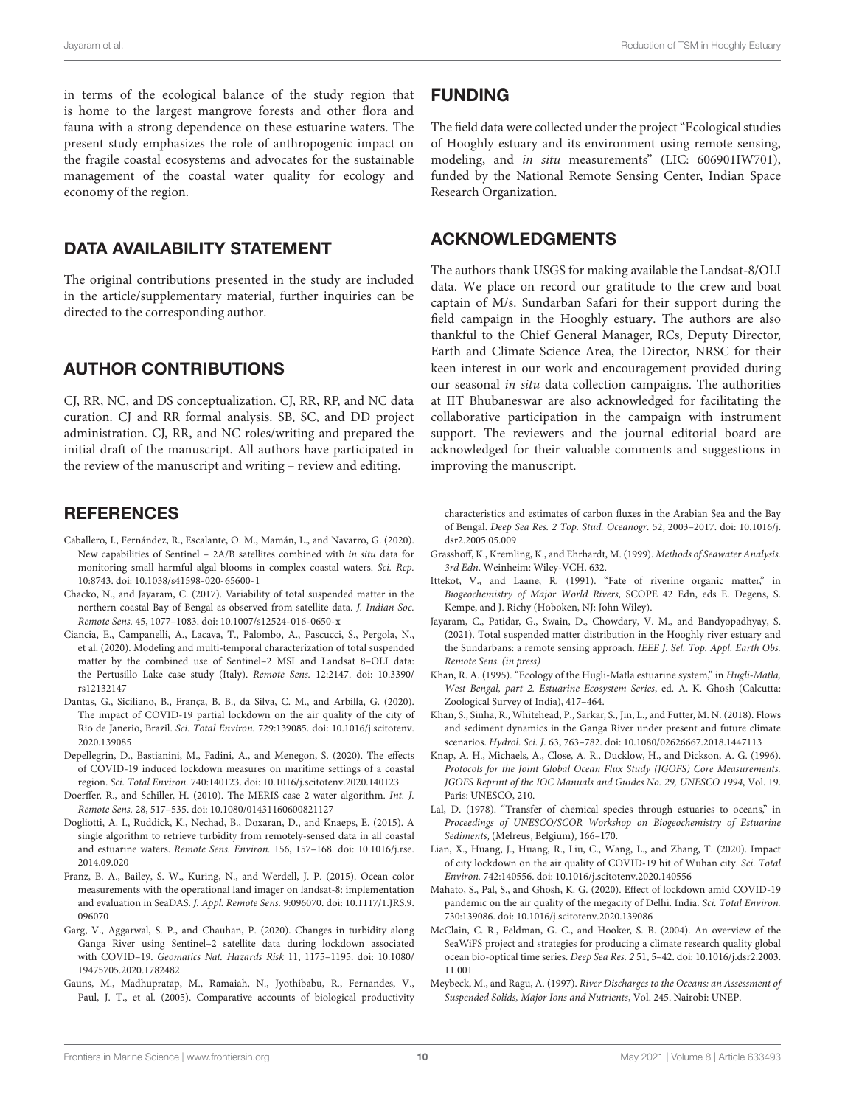in terms of the ecological balance of the study region that is home to the largest mangrove forests and other flora and fauna with a strong dependence on these estuarine waters. The present study emphasizes the role of anthropogenic impact on the fragile coastal ecosystems and advocates for the sustainable management of the coastal water quality for ecology and economy of the region.

### DATA AVAILABILITY STATEMENT

The original contributions presented in the study are included in the article/supplementary material, further inquiries can be directed to the corresponding author.

# AUTHOR CONTRIBUTIONS

CJ, RR, NC, and DS conceptualization. CJ, RR, RP, and NC data curation. CJ and RR formal analysis. SB, SC, and DD project administration. CJ, RR, and NC roles/writing and prepared the initial draft of the manuscript. All authors have participated in the review of the manuscript and writing – review and editing.

#### **REFERENCES**

- Caballero, I., Fernández, R., Escalante, O. M., Mamán, L., and Navarro, G. (2020). New capabilities of Sentinel – 2A/B satellites combined with in situ data for monitoring small harmful algal blooms in complex coastal waters. Sci. Rep. 10:8743. doi: 10.1038/s41598-020-65600-1
- Chacko, N., and Jayaram, C. (2017). Variability of total suspended matter in the northern coastal Bay of Bengal as observed from satellite data. J. Indian Soc. Remote Sens. 45, 1077–1083. doi: 10.1007/s12524-016-0650-x
- Ciancia, E., Campanelli, A., Lacava, T., Palombo, A., Pascucci, S., Pergola, N., et al. (2020). Modeling and multi-temporal characterization of total suspended matter by the combined use of Sentinel–2 MSI and Landsat 8–OLI data: the Pertusillo Lake case study (Italy). Remote Sens. 12:2147. doi: 10.3390/ rs12132147
- Dantas, G., Siciliano, B., França, B. B., da Silva, C. M., and Arbilla, G. (2020). The impact of COVID-19 partial lockdown on the air quality of the city of Rio de Janerio, Brazil. Sci. Total Environ. 729:139085. doi: 10.1016/j.scitotenv. 2020.139085
- Depellegrin, D., Bastianini, M., Fadini, A., and Menegon, S. (2020). The effects of COVID-19 induced lockdown measures on maritime settings of a coastal region. Sci. Total Environ. 740:140123. doi: 10.1016/j.scitotenv.2020.140123
- Doerffer, R., and Schiller, H. (2010). The MERIS case 2 water algorithm. Int. J. Remote Sens. 28, 517–535. doi: 10.1080/01431160600821127
- Dogliotti, A. I., Ruddick, K., Nechad, B., Doxaran, D., and Knaeps, E. (2015). A single algorithm to retrieve turbidity from remotely-sensed data in all coastal and estuarine waters. Remote Sens. Environ. 156, 157–168. doi: 10.1016/j.rse. 2014.09.020
- Franz, B. A., Bailey, S. W., Kuring, N., and Werdell, J. P. (2015). Ocean color measurements with the operational land imager on landsat-8: implementation and evaluation in SeaDAS. J. Appl. Remote Sens. 9:096070. doi: 10.1117/1.JRS.9. 096070
- Garg, V., Aggarwal, S. P., and Chauhan, P. (2020). Changes in turbidity along Ganga River using Sentinel–2 satellite data during lockdown associated with COVID–19. Geomatics Nat. Hazards Risk 11, 1175–1195. doi: 10.1080/ 19475705.2020.1782482
- Gauns, M., Madhupratap, M., Ramaiah, N., Jyothibabu, R., Fernandes, V., Paul, J. T., et al. (2005). Comparative accounts of biological productivity

### FUNDING

The field data were collected under the project "Ecological studies of Hooghly estuary and its environment using remote sensing, modeling, and in situ measurements" (LIC: 606901IW701), funded by the National Remote Sensing Center, Indian Space Research Organization.

### ACKNOWLEDGMENTS

The authors thank USGS for making available the Landsat-8/OLI data. We place on record our gratitude to the crew and boat captain of M/s. Sundarban Safari for their support during the field campaign in the Hooghly estuary. The authors are also thankful to the Chief General Manager, RCs, Deputy Director, Earth and Climate Science Area, the Director, NRSC for their keen interest in our work and encouragement provided during our seasonal in situ data collection campaigns. The authorities at IIT Bhubaneswar are also acknowledged for facilitating the collaborative participation in the campaign with instrument support. The reviewers and the journal editorial board are acknowledged for their valuable comments and suggestions in improving the manuscript.

characteristics and estimates of carbon fluxes in the Arabian Sea and the Bay of Bengal. Deep Sea Res. 2 Top. Stud. Oceanogr. 52, 2003–2017. doi: 10.1016/j. dsr2.2005.05.009

- Grasshoff, K., Kremling, K., and Ehrhardt, M. (1999). Methods of Seawater Analysis. 3rd Edn. Weinheim: Wiley-VCH. 632.
- Ittekot, V., and Laane, R. (1991). "Fate of riverine organic matter," in Biogeochemistry of Major World Rivers, SCOPE 42 Edn, eds E. Degens, S. Kempe, and J. Richy (Hoboken, NJ: John Wiley).
- Jayaram, C., Patidar, G., Swain, D., Chowdary, V. M., and Bandyopadhyay, S. (2021). Total suspended matter distribution in the Hooghly river estuary and the Sundarbans: a remote sensing approach. IEEE J. Sel. Top. Appl. Earth Obs. Remote Sens. (in press)
- Khan, R. A. (1995). "Ecology of the Hugli-Matla estuarine system," in Hugli-Matla, West Bengal, part 2. Estuarine Ecosystem Series, ed. A. K. Ghosh (Calcutta: Zoological Survey of India), 417–464.
- Khan, S., Sinha, R., Whitehead, P., Sarkar, S., Jin, L., and Futter, M. N. (2018). Flows and sediment dynamics in the Ganga River under present and future climate scenarios. Hydrol. Sci. J. 63, 763–782. doi: 10.1080/02626667.2018.1447113
- Knap, A. H., Michaels, A., Close, A. R., Ducklow, H., and Dickson, A. G. (1996). Protocols for the Joint Global Ocean Flux Study (JGOFS) Core Measurements. JGOFS Reprint of the IOC Manuals and Guides No. 29, UNESCO 1994, Vol. 19. Paris: UNESCO, 210.
- Lal, D. (1978). "Transfer of chemical species through estuaries to oceans," in Proceedings of UNESCO/SCOR Workshop on Biogeochemistry of Estuarine Sediments, (Melreus, Belgium), 166–170.
- Lian, X., Huang, J., Huang, R., Liu, C., Wang, L., and Zhang, T. (2020). Impact of city lockdown on the air quality of COVID-19 hit of Wuhan city. Sci. Total Environ. 742:140556. doi: 10.1016/j.scitotenv.2020.140556
- Mahato, S., Pal, S., and Ghosh, K. G. (2020). Effect of lockdown amid COVID-19 pandemic on the air quality of the megacity of Delhi. India. Sci. Total Environ. 730:139086. doi: 10.1016/j.scitotenv.2020.139086
- McClain, C. R., Feldman, G. C., and Hooker, S. B. (2004). An overview of the SeaWiFS project and strategies for producing a climate research quality global ocean bio-optical time series. Deep Sea Res. 2 51, 5–42. doi: 10.1016/j.dsr2.2003. 11.001
- Meybeck, M., and Ragu, A. (1997). River Discharges to the Oceans: an Assessment of Suspended Solids, Major Ions and Nutrients, Vol. 245. Nairobi: UNEP.